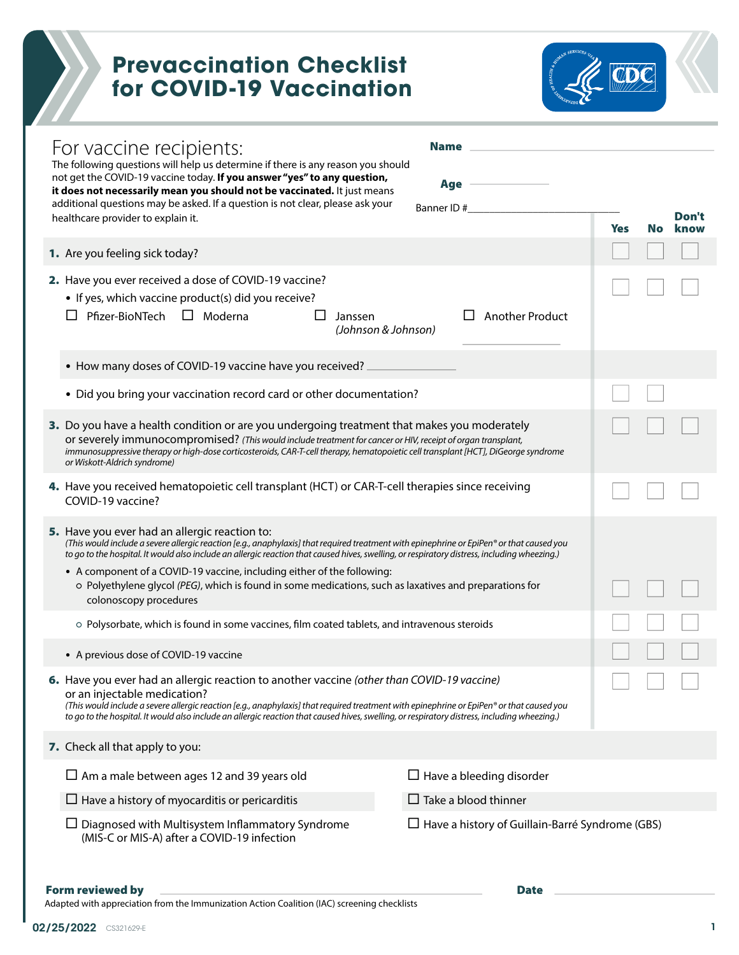## **Prevaccination Checklist for COVID-19 Vaccination**



|  | For vaccine recipients:<br><b>Name</b><br>The following questions will help us determine if there is any reason you should<br>not get the COVID-19 vaccine today. If you answer "yes" to any question,<br>Age<br>it does not necessarily mean you should not be vaccinated. It just means<br>additional questions may be asked. If a question is not clear, please ask your<br>Banner ID#                                                                                                                                                                         |                                                        |     |    |  |
|--|-------------------------------------------------------------------------------------------------------------------------------------------------------------------------------------------------------------------------------------------------------------------------------------------------------------------------------------------------------------------------------------------------------------------------------------------------------------------------------------------------------------------------------------------------------------------|--------------------------------------------------------|-----|----|--|
|  | healthcare provider to explain it.                                                                                                                                                                                                                                                                                                                                                                                                                                                                                                                                |                                                        | Yes | No |  |
|  | 1. Are you feeling sick today?                                                                                                                                                                                                                                                                                                                                                                                                                                                                                                                                    |                                                        |     |    |  |
|  | 2. Have you ever received a dose of COVID-19 vaccine?<br>• If yes, which vaccine product(s) did you receive?<br>Pfizer-BioNTech<br>$\Box$ Moderna<br>Janssen<br>(Johnson & Johnson)                                                                                                                                                                                                                                                                                                                                                                               | <b>Another Product</b>                                 |     |    |  |
|  | • How many doses of COVID-19 vaccine have you received?                                                                                                                                                                                                                                                                                                                                                                                                                                                                                                           |                                                        |     |    |  |
|  | • Did you bring your vaccination record card or other documentation?                                                                                                                                                                                                                                                                                                                                                                                                                                                                                              |                                                        |     |    |  |
|  | 3. Do you have a health condition or are you undergoing treatment that makes you moderately<br>or severely immunocompromised? (This would include treatment for cancer or HIV, receipt of organ transplant,<br>immunosuppressive therapy or high-dose corticosteroids, CAR-T-cell therapy, hematopoietic cell transplant [HCT], DiGeorge syndrome<br>or Wiskott-Aldrich syndrome)                                                                                                                                                                                 |                                                        |     |    |  |
|  | 4. Have you received hematopoietic cell transplant (HCT) or CAR-T-cell therapies since receiving<br>COVID-19 vaccine?                                                                                                                                                                                                                                                                                                                                                                                                                                             |                                                        |     |    |  |
|  | <b>5.</b> Have you ever had an allergic reaction to:<br>(This would include a severe allergic reaction [e.g., anaphylaxis] that required treatment with epinephrine or EpiPen® or that caused you<br>to go to the hospital. It would also include an allergic reaction that caused hives, swelling, or respiratory distress, including wheezing.)<br>• A component of a COVID-19 vaccine, including either of the following:<br>o Polyethylene glycol (PEG), which is found in some medications, such as laxatives and preparations for<br>colonoscopy procedures |                                                        |     |    |  |
|  | o Polysorbate, which is found in some vaccines, film coated tablets, and intravenous steroids                                                                                                                                                                                                                                                                                                                                                                                                                                                                     |                                                        |     |    |  |
|  | • A previous dose of COVID-19 vaccine                                                                                                                                                                                                                                                                                                                                                                                                                                                                                                                             |                                                        |     |    |  |
|  | 6. Have you ever had an allergic reaction to another vaccine (other than COVID-19 vaccine)<br>or an injectable medication?<br>(This would include a severe allergic reaction [e.g., anaphylaxis] that required treatment with epinephrine or EpiPen® or that caused you<br>to go to the hospital. It would also include an allergic reaction that caused hives, swelling, or respiratory distress, including wheezing.)                                                                                                                                           |                                                        |     |    |  |
|  | 7. Check all that apply to you:                                                                                                                                                                                                                                                                                                                                                                                                                                                                                                                                   |                                                        |     |    |  |
|  | $\Box$ Am a male between ages 12 and 39 years old                                                                                                                                                                                                                                                                                                                                                                                                                                                                                                                 | $\Box$ Have a bleeding disorder                        |     |    |  |
|  | $\Box$ Have a history of myocarditis or pericarditis                                                                                                                                                                                                                                                                                                                                                                                                                                                                                                              | $\Box$ Take a blood thinner                            |     |    |  |
|  | $\Box$ Diagnosed with Multisystem Inflammatory Syndrome<br>(MIS-C or MIS-A) after a COVID-19 infection                                                                                                                                                                                                                                                                                                                                                                                                                                                            | $\Box$ Have a history of Guillain-Barré Syndrome (GBS) |     |    |  |

## Form reviewed by <u>Date and Communications</u> and Date Date Date Date

Adapted with appreciation from the Immunization Action Coalition (IAC) screening checklists